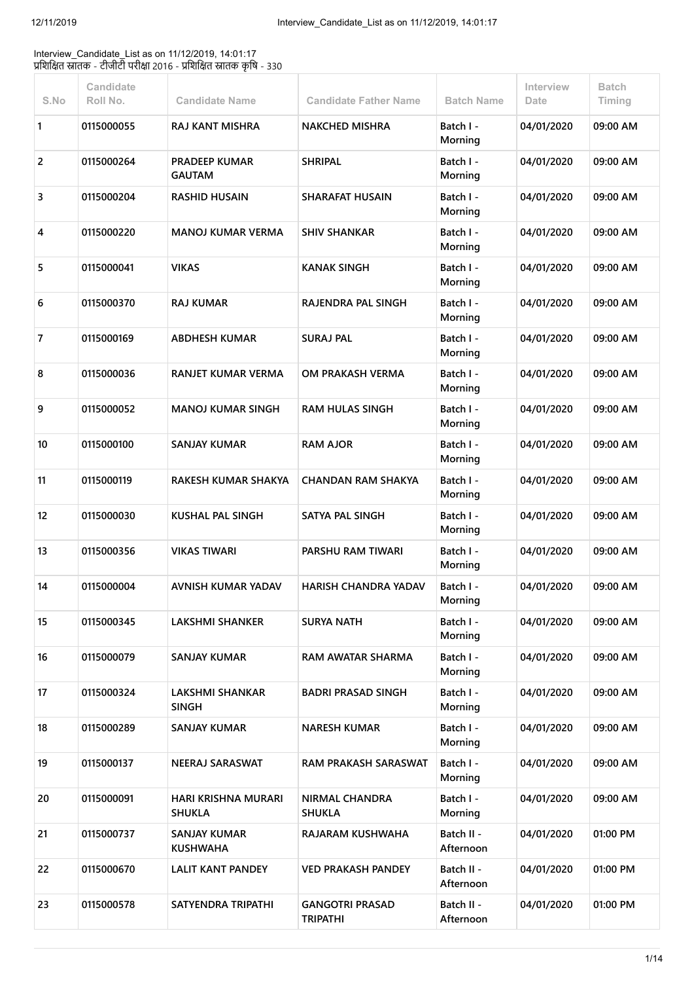Interview\_Candidate\_List as on 11/12/2019, 14:01:17 प्रशिक्षित स्नातक - टीजीटी परीक्षा 2016 - प्रशिक्षित स्नातक कृषि - 330

| S.No           | Candidate<br>Roll No. | <b>Candidate Name</b>                       | <b>Candidate Father Name</b>              | <b>Batch Name</b>       | Interview<br>Date | <b>Batch</b><br>Timing |
|----------------|-----------------------|---------------------------------------------|-------------------------------------------|-------------------------|-------------------|------------------------|
| 1              | 0115000055            | <b>RAJ KANT MISHRA</b>                      | <b>NAKCHED MISHRA</b>                     | Batch I -<br>Morning    | 04/01/2020        | 09:00 AM               |
| 2              | 0115000264            | <b>PRADEEP KUMAR</b><br><b>GAUTAM</b>       | <b>SHRIPAL</b>                            | Batch I -<br>Morning    | 04/01/2020        | 09:00 AM               |
| 3              | 0115000204            | <b>RASHID HUSAIN</b>                        | <b>SHARAFAT HUSAIN</b>                    | Batch I -<br>Morning    | 04/01/2020        | 09:00 AM               |
| 4              | 0115000220            | <b>MANOJ KUMAR VERMA</b>                    | <b>SHIV SHANKAR</b>                       | Batch I -<br>Morning    | 04/01/2020        | 09:00 AM               |
| 5              | 0115000041            | <b>VIKAS</b>                                | <b>KANAK SINGH</b>                        | Batch I -<br>Morning    | 04/01/2020        | 09:00 AM               |
| 6              | 0115000370            | <b>RAJ KUMAR</b>                            | <b>RAJENDRA PAL SINGH</b>                 | Batch I -<br>Morning    | 04/01/2020        | 09:00 AM               |
| $\overline{7}$ | 0115000169            | <b>ABDHESH KUMAR</b>                        | <b>SURAJ PAL</b>                          | Batch I -<br>Morning    | 04/01/2020        | 09:00 AM               |
| 8              | 0115000036            | <b>RANJET KUMAR VERMA</b>                   | OM PRAKASH VERMA                          | Batch I -<br>Morning    | 04/01/2020        | 09:00 AM               |
| 9              | 0115000052            | <b>MANOJ KUMAR SINGH</b>                    | <b>RAM HULAS SINGH</b>                    | Batch I -<br>Morning    | 04/01/2020        | 09:00 AM               |
| 10             | 0115000100            | <b>SANJAY KUMAR</b>                         | <b>RAM AJOR</b>                           | Batch I -<br>Morning    | 04/01/2020        | 09:00 AM               |
| 11             | 0115000119            | <b>RAKESH KUMAR SHAKYA</b>                  | <b>CHANDAN RAM SHAKYA</b>                 | Batch I -<br>Morning    | 04/01/2020        | 09:00 AM               |
| 12             | 0115000030            | <b>KUSHAL PAL SINGH</b>                     | SATYA PAL SINGH                           | Batch I -<br>Morning    | 04/01/2020        | 09:00 AM               |
| 13             | 0115000356            | <b>VIKAS TIWARI</b>                         | <b>PARSHU RAM TIWARI</b>                  | Batch I -<br>Morning    | 04/01/2020        | 09:00 AM               |
| 14             | 0115000004            | <b>AVNISH KUMAR YADAV</b>                   | <b>HARISH CHANDRA YADAV</b>               | Batch I -<br>Morning    | 04/01/2020        | 09:00 AM               |
| 15             | 0115000345            | <b>LAKSHMI SHANKER</b>                      | <b>SURYA NATH</b>                         | Batch I -<br>Morning    | 04/01/2020        | 09:00 AM               |
| 16             | 0115000079            | <b>SANJAY KUMAR</b>                         | <b>RAM AWATAR SHARMA</b>                  | Batch I -<br>Morning    | 04/01/2020        | 09:00 AM               |
| 17             | 0115000324            | <b>LAKSHMI SHANKAR</b><br><b>SINGH</b>      | <b>BADRI PRASAD SINGH</b>                 | Batch I -<br>Morning    | 04/01/2020        | 09:00 AM               |
| 18             | 0115000289            | <b>SANJAY KUMAR</b>                         | <b>NARESH KUMAR</b>                       | Batch I -<br>Morning    | 04/01/2020        | 09:00 AM               |
| 19             | 0115000137            | <b>NEERAJ SARASWAT</b>                      | <b>RAM PRAKASH SARASWAT</b>               | Batch I -<br>Morning    | 04/01/2020        | 09:00 AM               |
| 20             | 0115000091            | <b>HARI KRISHNA MURARI</b><br><b>SHUKLA</b> | <b>NIRMAL CHANDRA</b><br><b>SHUKLA</b>    | Batch I -<br>Morning    | 04/01/2020        | 09:00 AM               |
| 21             | 0115000737            | <b>SANJAY KUMAR</b><br><b>KUSHWAHA</b>      | RAJARAM KUSHWAHA                          | Batch II -<br>Afternoon | 04/01/2020        | 01:00 PM               |
| 22             | 0115000670            | <b>LALIT KANT PANDEY</b>                    | <b>VED PRAKASH PANDEY</b>                 | Batch II -<br>Afternoon | 04/01/2020        | 01:00 PM               |
| 23             | 0115000578            | SATYENDRA TRIPATHI                          | <b>GANGOTRI PRASAD</b><br><b>TRIPATHI</b> | Batch II -<br>Afternoon | 04/01/2020        | 01:00 PM               |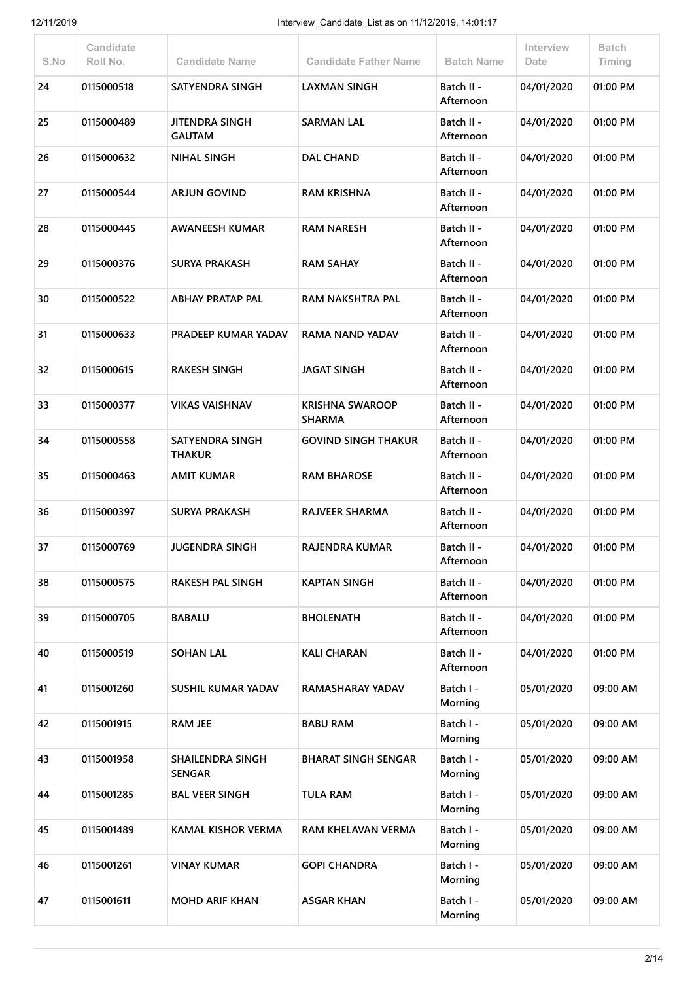| S.No | Candidate<br>Roll No. | <b>Candidate Name</b>                    | <b>Candidate Father Name</b>            | <b>Batch Name</b>       | Interview<br>Date | <b>Batch</b><br>Timing |
|------|-----------------------|------------------------------------------|-----------------------------------------|-------------------------|-------------------|------------------------|
| 24   | 0115000518            | <b>SATYENDRA SINGH</b>                   | <b>LAXMAN SINGH</b>                     | Batch II -<br>Afternoon | 04/01/2020        | 01:00 PM               |
| 25   | 0115000489            | JITENDRA SINGH<br><b>GAUTAM</b>          | <b>SARMAN LAL</b>                       | Batch II -<br>Afternoon | 04/01/2020        | 01:00 PM               |
| 26   | 0115000632            | <b>NIHAL SINGH</b>                       | <b>DAL CHAND</b>                        | Batch II -<br>Afternoon | 04/01/2020        | 01:00 PM               |
| 27   | 0115000544            | <b>ARJUN GOVIND</b>                      | <b>RAM KRISHNA</b>                      | Batch II -<br>Afternoon | 04/01/2020        | 01:00 PM               |
| 28   | 0115000445            | <b>AWANEESH KUMAR</b>                    | <b>RAM NARESH</b>                       | Batch II -<br>Afternoon | 04/01/2020        | 01:00 PM               |
| 29   | 0115000376            | <b>SURYA PRAKASH</b>                     | <b>RAM SAHAY</b>                        | Batch II -<br>Afternoon | 04/01/2020        | 01:00 PM               |
| 30   | 0115000522            | <b>ABHAY PRATAP PAL</b>                  | <b>RAM NAKSHTRA PAL</b>                 | Batch II -<br>Afternoon | 04/01/2020        | 01:00 PM               |
| 31   | 0115000633            | <b>PRADEEP KUMAR YADAV</b>               | RAMA NAND YADAV                         | Batch II -<br>Afternoon | 04/01/2020        | 01:00 PM               |
| 32   | 0115000615            | <b>RAKESH SINGH</b>                      | <b>JAGAT SINGH</b>                      | Batch II -<br>Afternoon | 04/01/2020        | 01:00 PM               |
| 33   | 0115000377            | <b>VIKAS VAISHNAV</b>                    | <b>KRISHNA SWAROOP</b><br><b>SHARMA</b> | Batch II -<br>Afternoon | 04/01/2020        | 01:00 PM               |
| 34   | 0115000558            | <b>SATYENDRA SINGH</b><br><b>THAKUR</b>  | <b>GOVIND SINGH THAKUR</b>              | Batch II -<br>Afternoon | 04/01/2020        | 01:00 PM               |
| 35   | 0115000463            | <b>AMIT KUMAR</b>                        | <b>RAM BHAROSE</b>                      | Batch II -<br>Afternoon | 04/01/2020        | 01:00 PM               |
| 36   | 0115000397            | <b>SURYA PRAKASH</b>                     | <b>RAJVEER SHARMA</b>                   | Batch II -<br>Afternoon | 04/01/2020        | 01:00 PM               |
| 37   | 0115000769            | <b>JUGENDRA SINGH</b>                    | RAJENDRA KUMAR                          | Batch II -<br>Afternoon | 04/01/2020        | 01:00 PM               |
| 38   | 0115000575            | <b>RAKESH PAL SINGH</b>                  | <b>KAPTAN SINGH</b>                     | Batch II -<br>Afternoon | 04/01/2020        | 01:00 PM               |
| 39   | 0115000705            | <b>BABALU</b>                            | <b>BHOLENATH</b>                        | Batch II -<br>Afternoon | 04/01/2020        | 01:00 PM               |
| 40   | 0115000519            | <b>SOHAN LAL</b>                         | <b>KALI CHARAN</b>                      | Batch II -<br>Afternoon | 04/01/2020        | 01:00 PM               |
| 41   | 0115001260            | <b>SUSHIL KUMAR YADAV</b>                | RAMASHARAY YADAV                        | Batch I -<br>Morning    | 05/01/2020        | 09:00 AM               |
| 42   | 0115001915            | <b>RAM JEE</b>                           | <b>BABU RAM</b>                         | Batch I -<br>Morning    | 05/01/2020        | 09:00 AM               |
| 43   | 0115001958            | <b>SHAILENDRA SINGH</b><br><b>SENGAR</b> | <b>BHARAT SINGH SENGAR</b>              | Batch I -<br>Morning    | 05/01/2020        | 09:00 AM               |
| 44   | 0115001285            | <b>BAL VEER SINGH</b>                    | <b>TULA RAM</b>                         | Batch I -<br>Morning    | 05/01/2020        | 09:00 AM               |
| 45   | 0115001489            | <b>KAMAL KISHOR VERMA</b>                | RAM KHELAVAN VERMA                      | Batch I -<br>Morning    | 05/01/2020        | 09:00 AM               |
| 46   | 0115001261            | <b>VINAY KUMAR</b>                       | <b>GOPI CHANDRA</b>                     | Batch I -<br>Morning    | 05/01/2020        | 09:00 AM               |
| 47   | 0115001611            | <b>MOHD ARIF KHAN</b>                    | <b>ASGAR KHAN</b>                       | Batch I -<br>Morning    | 05/01/2020        | 09:00 AM               |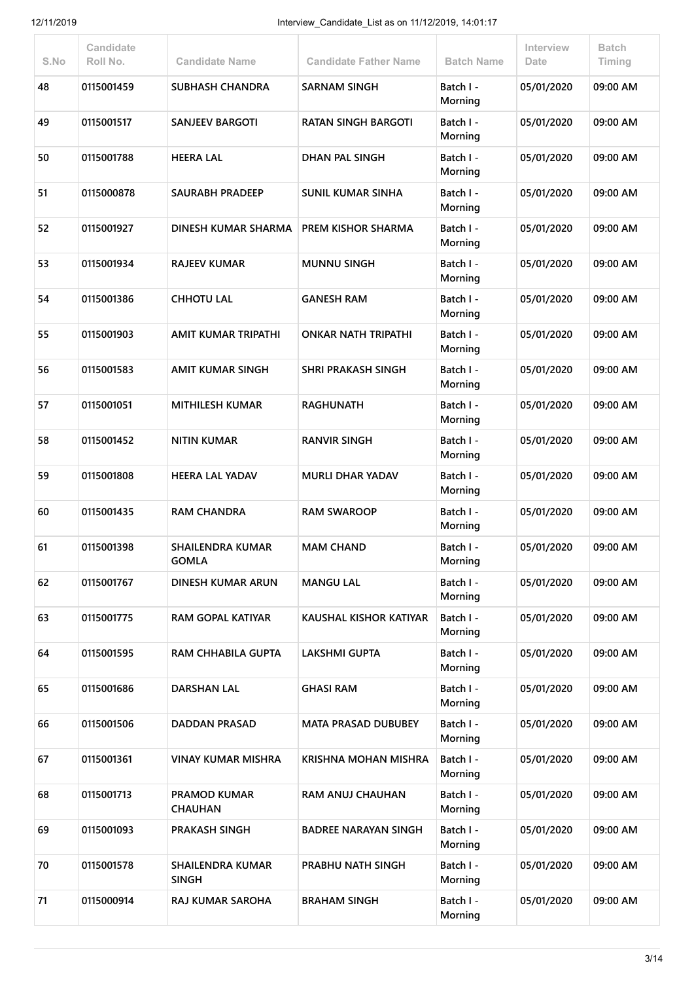| S.No | Candidate<br>Roll No. | <b>Candidate Name</b>                   | <b>Candidate Father Name</b> | <b>Batch Name</b>    | Interview<br>Date | <b>Batch</b><br>Timing |
|------|-----------------------|-----------------------------------------|------------------------------|----------------------|-------------------|------------------------|
| 48   | 0115001459            | <b>SUBHASH CHANDRA</b>                  | SARNAM SINGH                 | Batch I -<br>Morning | 05/01/2020        | 09:00 AM               |
| 49   | 0115001517            | <b>SANJEEV BARGOTI</b>                  | <b>RATAN SINGH BARGOTI</b>   | Batch I -<br>Morning | 05/01/2020        | 09:00 AM               |
| 50   | 0115001788            | <b>HEERA LAL</b>                        | <b>DHAN PAL SINGH</b>        | Batch I -<br>Morning | 05/01/2020        | 09:00 AM               |
| 51   | 0115000878            | <b>SAURABH PRADEEP</b>                  | <b>SUNIL KUMAR SINHA</b>     | Batch I -<br>Morning | 05/01/2020        | 09:00 AM               |
| 52   | 0115001927            | DINESH KUMAR SHARMA                     | <b>PREM KISHOR SHARMA</b>    | Batch I -<br>Morning | 05/01/2020        | 09:00 AM               |
| 53   | 0115001934            | <b>RAJEEV KUMAR</b>                     | <b>MUNNU SINGH</b>           | Batch I -<br>Morning | 05/01/2020        | 09:00 AM               |
| 54   | 0115001386            | <b>CHHOTU LAL</b>                       | <b>GANESH RAM</b>            | Batch I -<br>Morning | 05/01/2020        | 09:00 AM               |
| 55   | 0115001903            | <b>AMIT KUMAR TRIPATHI</b>              | <b>ONKAR NATH TRIPATHI</b>   | Batch I -<br>Morning | 05/01/2020        | 09:00 AM               |
| 56   | 0115001583            | AMIT KUMAR SINGH                        | <b>SHRI PRAKASH SINGH</b>    | Batch I -<br>Morning | 05/01/2020        | 09:00 AM               |
| 57   | 0115001051            | <b>MITHILESH KUMAR</b>                  | <b>RAGHUNATH</b>             | Batch I -<br>Morning | 05/01/2020        | 09:00 AM               |
| 58   | 0115001452            | <b>NITIN KUMAR</b>                      | <b>RANVIR SINGH</b>          | Batch I -<br>Morning | 05/01/2020        | 09:00 AM               |
| 59   | 0115001808            | <b>HEERA LAL YADAV</b>                  | <b>MURLI DHAR YADAV</b>      | Batch I -<br>Morning | 05/01/2020        | 09:00 AM               |
| 60   | 0115001435            | <b>RAM CHANDRA</b>                      | <b>RAM SWAROOP</b>           | Batch I -<br>Morning | 05/01/2020        | 09:00 AM               |
| 61   | 0115001398            | SHAILENDRA KUMAR<br><b>GOMLA</b>        | <b>MAM CHAND</b>             | Batch I -<br>Morning | 05/01/2020        | 09:00 AM               |
| 62   | 0115001767            | <b>DINESH KUMAR ARUN</b>                | <b>MANGU LAL</b>             | Batch I -<br>Morning | 05/01/2020        | 09:00 AM               |
| 63   | 0115001775            | <b>RAM GOPAL KATIYAR</b>                | KAUSHAL KISHOR KATIYAR       | Batch I -<br>Morning | 05/01/2020        | 09:00 AM               |
| 64   | 0115001595            | <b>RAM CHHABILA GUPTA</b>               | <b>LAKSHMI GUPTA</b>         | Batch I -<br>Morning | 05/01/2020        | 09:00 AM               |
| 65   | 0115001686            | <b>DARSHAN LAL</b>                      | <b>GHASI RAM</b>             | Batch I -<br>Morning | 05/01/2020        | 09:00 AM               |
| 66   | 0115001506            | <b>DADDAN PRASAD</b>                    | <b>MATA PRASAD DUBUBEY</b>   | Batch I -<br>Morning | 05/01/2020        | 09:00 AM               |
| 67   | 0115001361            | <b>VINAY KUMAR MISHRA</b>               | <b>KRISHNA MOHAN MISHRA</b>  | Batch I -<br>Morning | 05/01/2020        | 09:00 AM               |
| 68   | 0115001713            | <b>PRAMOD KUMAR</b><br><b>CHAUHAN</b>   | RAM ANUJ CHAUHAN             | Batch I -<br>Morning | 05/01/2020        | 09:00 AM               |
| 69   | 0115001093            | <b>PRAKASH SINGH</b>                    | <b>BADREE NARAYAN SINGH</b>  | Batch I -<br>Morning | 05/01/2020        | 09:00 AM               |
| 70   | 0115001578            | <b>SHAILENDRA KUMAR</b><br><b>SINGH</b> | PRABHU NATH SINGH            | Batch I -<br>Morning | 05/01/2020        | 09:00 AM               |
| 71   | 0115000914            | <b>RAJ KUMAR SAROHA</b>                 | <b>BRAHAM SINGH</b>          | Batch I -<br>Morning | 05/01/2020        | 09:00 AM               |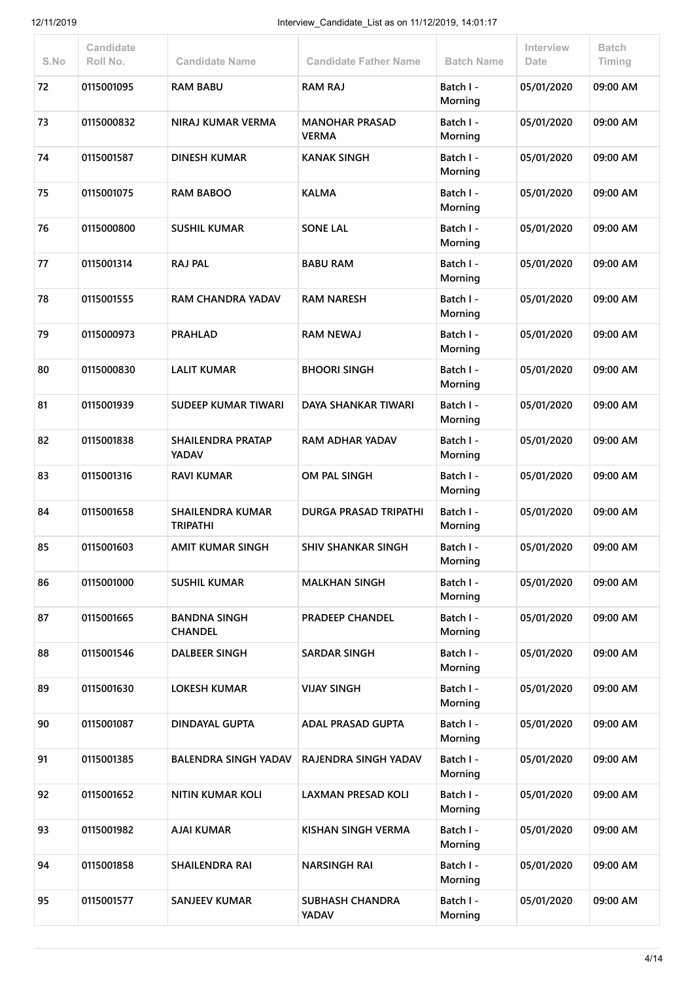| S.No | Candidate<br>Roll No. | <b>Candidate Name</b>                      | <b>Candidate Father Name</b>          | <b>Batch Name</b>    | Interview<br>Date | <b>Batch</b><br>Timing |
|------|-----------------------|--------------------------------------------|---------------------------------------|----------------------|-------------------|------------------------|
| 72   | 0115001095            | <b>RAM BABU</b>                            | <b>RAM RAJ</b>                        | Batch I -<br>Morning | 05/01/2020        | 09:00 AM               |
| 73   | 0115000832            | NIRAJ KUMAR VERMA                          | <b>MANOHAR PRASAD</b><br><b>VERMA</b> | Batch I -<br>Morning | 05/01/2020        | 09:00 AM               |
| 74   | 0115001587            | <b>DINESH KUMAR</b>                        | <b>KANAK SINGH</b>                    | Batch I -<br>Morning | 05/01/2020        | 09:00 AM               |
| 75   | 0115001075            | <b>RAM BABOO</b>                           | <b>KALMA</b>                          | Batch I -<br>Morning | 05/01/2020        | 09:00 AM               |
| 76   | 0115000800            | <b>SUSHIL KUMAR</b>                        | <b>SONE LAL</b>                       | Batch I -<br>Morning | 05/01/2020        | 09:00 AM               |
| 77   | 0115001314            | <b>RAJ PAL</b>                             | <b>BABU RAM</b>                       | Batch I -<br>Morning | 05/01/2020        | 09:00 AM               |
| 78   | 0115001555            | <b>RAM CHANDRA YADAV</b>                   | <b>RAM NARESH</b>                     | Batch I -<br>Morning | 05/01/2020        | 09:00 AM               |
| 79   | 0115000973            | <b>PRAHLAD</b>                             | <b>RAM NEWAJ</b>                      | Batch I -<br>Morning | 05/01/2020        | 09:00 AM               |
| 80   | 0115000830            | <b>LALIT KUMAR</b>                         | <b>BHOORI SINGH</b>                   | Batch I -<br>Morning | 05/01/2020        | 09:00 AM               |
| 81   | 0115001939            | <b>SUDEEP KUMAR TIWARI</b>                 | DAYA SHANKAR TIWARI                   | Batch I -<br>Morning | 05/01/2020        | 09:00 AM               |
| 82   | 0115001838            | <b>SHAILENDRA PRATAP</b><br><b>YADAV</b>   | <b>RAM ADHAR YADAV</b>                | Batch I -<br>Morning | 05/01/2020        | 09:00 AM               |
| 83   | 0115001316            | <b>RAVI KUMAR</b>                          | OM PAL SINGH                          | Batch I -<br>Morning | 05/01/2020        | 09:00 AM               |
| 84   | 0115001658            | <b>SHAILENDRA KUMAR</b><br><b>TRIPATHI</b> | <b>DURGA PRASAD TRIPATHI</b>          | Batch I -<br>Morning | 05/01/2020        | 09:00 AM               |
| 85   | 0115001603            | <b>AMIT KUMAR SINGH</b>                    | <b>SHIV SHANKAR SINGH</b>             | Batch I -<br>Morning | 05/01/2020        | 09:00 AM               |
| 86   | 0115001000            | <b>SUSHIL KUMAR</b>                        | <b>MALKHAN SINGH</b>                  | Batch I -<br>Morning | 05/01/2020        | 09:00 AM               |
| 87   | 0115001665            | <b>BANDNA SINGH</b><br><b>CHANDEL</b>      | <b>PRADEEP CHANDEL</b>                | Batch I -<br>Morning | 05/01/2020        | 09:00 AM               |
| 88   | 0115001546            | <b>DALBEER SINGH</b>                       | <b>SARDAR SINGH</b>                   | Batch I -<br>Morning | 05/01/2020        | 09:00 AM               |
| 89   | 0115001630            | <b>LOKESH KUMAR</b>                        | <b>VIJAY SINGH</b>                    | Batch I -<br>Morning | 05/01/2020        | 09:00 AM               |
| 90   | 0115001087            | <b>DINDAYAL GUPTA</b>                      | <b>ADAL PRASAD GUPTA</b>              | Batch I -<br>Morning | 05/01/2020        | 09:00 AM               |
| 91   | 0115001385            | <b>BALENDRA SINGH YADAV</b>                | RAJENDRA SINGH YADAV                  | Batch I -<br>Morning | 05/01/2020        | 09:00 AM               |
| 92   | 0115001652            | <b>NITIN KUMAR KOLI</b>                    | <b>LAXMAN PRESAD KOLI</b>             | Batch I -<br>Morning | 05/01/2020        | 09:00 AM               |
| 93   | 0115001982            | <b>AJAI KUMAR</b>                          | KISHAN SINGH VERMA                    | Batch I -<br>Morning | 05/01/2020        | 09:00 AM               |
| 94   | 0115001858            | <b>SHAILENDRA RAI</b>                      | <b>NARSINGH RAI</b>                   | Batch I -<br>Morning | 05/01/2020        | 09:00 AM               |
| 95   | 0115001577            | <b>SANJEEV KUMAR</b>                       | SUBHASH CHANDRA<br>YADAV              | Batch I -<br>Morning | 05/01/2020        | 09:00 AM               |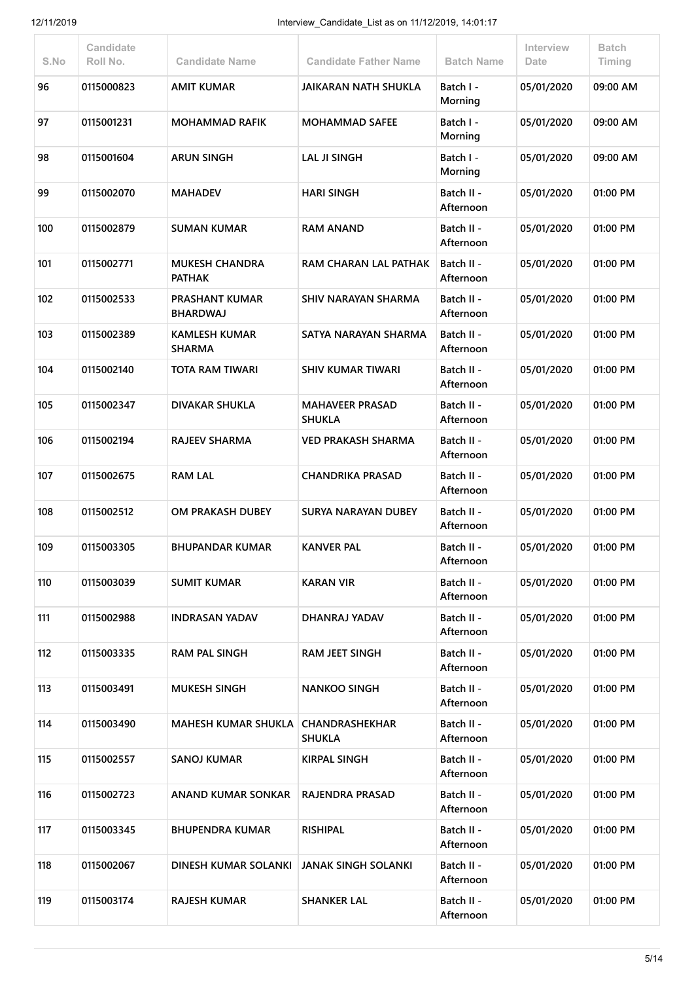| S.No | <b>Candidate</b><br>Roll No. | <b>Candidate Name</b>                    | <b>Candidate Father Name</b>            | <b>Batch Name</b>       | Interview<br>Date | <b>Batch</b><br>Timing |
|------|------------------------------|------------------------------------------|-----------------------------------------|-------------------------|-------------------|------------------------|
| 96   | 0115000823                   | <b>AMIT KUMAR</b>                        | JAIKARAN NATH SHUKLA                    | Batch I -<br>Morning    | 05/01/2020        | 09:00 AM               |
| 97   | 0115001231                   | <b>MOHAMMAD RAFIK</b>                    | <b>MOHAMMAD SAFEE</b>                   | Batch I -<br>Morning    | 05/01/2020        | 09:00 AM               |
| 98   | 0115001604                   | <b>ARUN SINGH</b>                        | <b>LAL JI SINGH</b>                     | Batch I -<br>Morning    | 05/01/2020        | 09:00 AM               |
| 99   | 0115002070                   | <b>MAHADEV</b>                           | <b>HARI SINGH</b>                       | Batch II -<br>Afternoon | 05/01/2020        | 01:00 PM               |
| 100  | 0115002879                   | <b>SUMAN KUMAR</b>                       | <b>RAM ANAND</b>                        | Batch II -<br>Afternoon | 05/01/2020        | 01:00 PM               |
| 101  | 0115002771                   | <b>MUKESH CHANDRA</b><br><b>PATHAK</b>   | RAM CHARAN LAL PATHAK                   | Batch II -<br>Afternoon | 05/01/2020        | 01:00 PM               |
| 102  | 0115002533                   | <b>PRASHANT KUMAR</b><br><b>BHARDWAJ</b> | SHIV NARAYAN SHARMA                     | Batch II -<br>Afternoon | 05/01/2020        | 01:00 PM               |
| 103  | 0115002389                   | <b>KAMLESH KUMAR</b><br><b>SHARMA</b>    | SATYA NARAYAN SHARMA                    | Batch II -<br>Afternoon | 05/01/2020        | 01:00 PM               |
| 104  | 0115002140                   | TOTA RAM TIWARI                          | <b>SHIV KUMAR TIWARI</b>                | Batch II -<br>Afternoon | 05/01/2020        | 01:00 PM               |
| 105  | 0115002347                   | <b>DIVAKAR SHUKLA</b>                    | <b>MAHAVEER PRASAD</b><br><b>SHUKLA</b> | Batch II -<br>Afternoon | 05/01/2020        | 01:00 PM               |
| 106  | 0115002194                   | <b>RAJEEV SHARMA</b>                     | <b>VED PRAKASH SHARMA</b>               | Batch II -<br>Afternoon | 05/01/2020        | 01:00 PM               |
| 107  | 0115002675                   | <b>RAM LAL</b>                           | <b>CHANDRIKA PRASAD</b>                 | Batch II -<br>Afternoon | 05/01/2020        | 01:00 PM               |
| 108  | 0115002512                   | OM PRAKASH DUBEY                         | <b>SURYA NARAYAN DUBEY</b>              | Batch II -<br>Afternoon | 05/01/2020        | 01:00 PM               |
| 109  | 0115003305                   | <b>BHUPANDAR KUMAR</b>                   | <b>KANVER PAL</b>                       | Batch II -<br>Afternoon | 05/01/2020        | 01:00 PM               |
| 110  | 0115003039                   | <b>SUMIT KUMAR</b>                       | <b>KARAN VIR</b>                        | Batch II -<br>Afternoon | 05/01/2020        | 01:00 PM               |
| 111  | 0115002988                   | <b>INDRASAN YADAV</b>                    | DHANRAJ YADAV                           | Batch II -<br>Afternoon | 05/01/2020        | 01:00 PM               |
| 112  | 0115003335                   | <b>RAM PAL SINGH</b>                     | <b>RAM JEET SINGH</b>                   | Batch II -<br>Afternoon | 05/01/2020        | 01:00 PM               |
| 113  | 0115003491                   | <b>MUKESH SINGH</b>                      | <b>NANKOO SINGH</b>                     | Batch II -<br>Afternoon | 05/01/2020        | 01:00 PM               |
| 114  | 0115003490                   | <b>MAHESH KUMAR SHUKLA</b>               | CHANDRASHEKHAR<br><b>SHUKLA</b>         | Batch II -<br>Afternoon | 05/01/2020        | 01:00 PM               |
| 115  | 0115002557                   | <b>SANOJ KUMAR</b>                       | <b>KIRPAL SINGH</b>                     | Batch II -<br>Afternoon | 05/01/2020        | 01:00 PM               |
| 116  | 0115002723                   | ANAND KUMAR SONKAR                       | <b>RAJENDRA PRASAD</b>                  | Batch II -<br>Afternoon | 05/01/2020        | 01:00 PM               |
| 117  | 0115003345                   | BHUPENDRA KUMAR                          | <b>RISHIPAL</b>                         | Batch II -<br>Afternoon | 05/01/2020        | 01:00 PM               |
| 118  | 0115002067                   | DINESH KUMAR SOLANKI                     | <b>JANAK SINGH SOLANKI</b>              | Batch II -<br>Afternoon | 05/01/2020        | 01:00 PM               |
| 119  | 0115003174                   | <b>RAJESH KUMAR</b>                      | <b>SHANKER LAL</b>                      | Batch II -<br>Afternoon | 05/01/2020        | 01:00 PM               |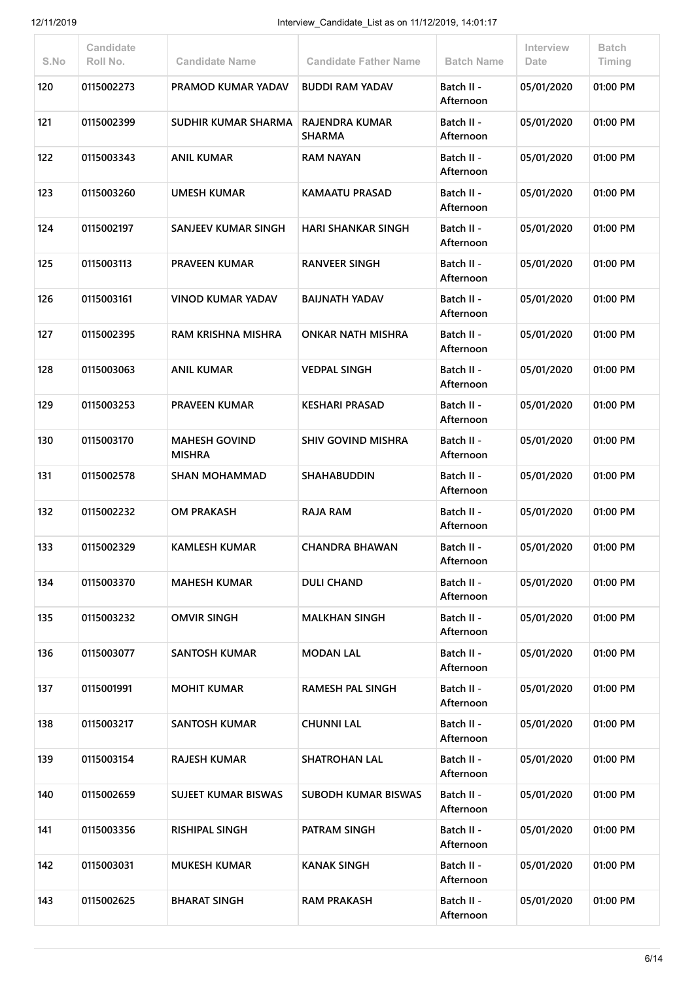| S.No | Candidate<br>Roll No. | <b>Candidate Name</b>                 | <b>Candidate Father Name</b>           | <b>Batch Name</b>       | Interview<br>Date | <b>Batch</b><br>Timing |
|------|-----------------------|---------------------------------------|----------------------------------------|-------------------------|-------------------|------------------------|
| 120  | 0115002273            | PRAMOD KUMAR YADAV                    | <b>BUDDI RAM YADAV</b>                 | Batch II -<br>Afternoon | 05/01/2020        | 01:00 PM               |
| 121  | 0115002399            | SUDHIR KUMAR SHARMA                   | <b>RAJENDRA KUMAR</b><br><b>SHARMA</b> | Batch II -<br>Afternoon | 05/01/2020        | 01:00 PM               |
| 122  | 0115003343            | <b>ANIL KUMAR</b>                     | <b>RAM NAYAN</b>                       | Batch II -<br>Afternoon | 05/01/2020        | 01:00 PM               |
| 123  | 0115003260            | <b>UMESH KUMAR</b>                    | <b>KAMAATU PRASAD</b>                  | Batch II -<br>Afternoon | 05/01/2020        | 01:00 PM               |
| 124  | 0115002197            | SANJEEV KUMAR SINGH                   | <b>HARI SHANKAR SINGH</b>              | Batch II -<br>Afternoon | 05/01/2020        | 01:00 PM               |
| 125  | 0115003113            | <b>PRAVEEN KUMAR</b>                  | <b>RANVEER SINGH</b>                   | Batch II -<br>Afternoon | 05/01/2020        | 01:00 PM               |
| 126  | 0115003161            | <b>VINOD KUMAR YADAV</b>              | <b>BAIJNATH YADAV</b>                  | Batch II -<br>Afternoon | 05/01/2020        | 01:00 PM               |
| 127  | 0115002395            | RAM KRISHNA MISHRA                    | <b>ONKAR NATH MISHRA</b>               | Batch II -<br>Afternoon | 05/01/2020        | 01:00 PM               |
| 128  | 0115003063            | <b>ANIL KUMAR</b>                     | <b>VEDPAL SINGH</b>                    | Batch II -<br>Afternoon | 05/01/2020        | 01:00 PM               |
| 129  | 0115003253            | <b>PRAVEEN KUMAR</b>                  | <b>KESHARI PRASAD</b>                  | Batch II -<br>Afternoon | 05/01/2020        | 01:00 PM               |
| 130  | 0115003170            | <b>MAHESH GOVIND</b><br><b>MISHRA</b> | <b>SHIV GOVIND MISHRA</b>              | Batch II -<br>Afternoon | 05/01/2020        | 01:00 PM               |
| 131  | 0115002578            | <b>SHAN MOHAMMAD</b>                  | <b>SHAHABUDDIN</b>                     | Batch II -<br>Afternoon | 05/01/2020        | 01:00 PM               |
| 132  | 0115002232            | <b>OM PRAKASH</b>                     | <b>RAJA RAM</b>                        | Batch II -<br>Afternoon | 05/01/2020        | 01:00 PM               |
| 133  | 0115002329            | <b>KAMLESH KUMAR</b>                  | <b>CHANDRA BHAWAN</b>                  | Batch II -<br>Afternoon | 05/01/2020        | 01:00 PM               |
| 134  | 0115003370            | <b>MAHESH KUMAR</b>                   | <b>DULI CHAND</b>                      | Batch II -<br>Afternoon | 05/01/2020        | 01:00 PM               |
| 135  | 0115003232            | <b>OMVIR SINGH</b>                    | <b>MALKHAN SINGH</b>                   | Batch II -<br>Afternoon | 05/01/2020        | 01:00 PM               |
| 136  | 0115003077            | <b>SANTOSH KUMAR</b>                  | <b>MODAN LAL</b>                       | Batch II -<br>Afternoon | 05/01/2020        | 01:00 PM               |
| 137  | 0115001991            | <b>MOHIT KUMAR</b>                    | <b>RAMESH PAL SINGH</b>                | Batch II -<br>Afternoon | 05/01/2020        | 01:00 PM               |
| 138  | 0115003217            | <b>SANTOSH KUMAR</b>                  | <b>CHUNNI LAL</b>                      | Batch II -<br>Afternoon | 05/01/2020        | 01:00 PM               |
| 139  | 0115003154            | <b>RAJESH KUMAR</b>                   | <b>SHATROHAN LAL</b>                   | Batch II -<br>Afternoon | 05/01/2020        | 01:00 PM               |
| 140  | 0115002659            | <b>SUJEET KUMAR BISWAS</b>            | <b>SUBODH KUMAR BISWAS</b>             | Batch II -<br>Afternoon | 05/01/2020        | 01:00 PM               |
| 141  | 0115003356            | <b>RISHIPAL SINGH</b>                 | PATRAM SINGH                           | Batch II -<br>Afternoon | 05/01/2020        | 01:00 PM               |
| 142  | 0115003031            | <b>MUKESH KUMAR</b>                   | <b>KANAK SINGH</b>                     | Batch II -<br>Afternoon | 05/01/2020        | 01:00 PM               |
| 143  | 0115002625            | <b>BHARAT SINGH</b>                   | <b>RAM PRAKASH</b>                     | Batch II -<br>Afternoon | 05/01/2020        | 01:00 PM               |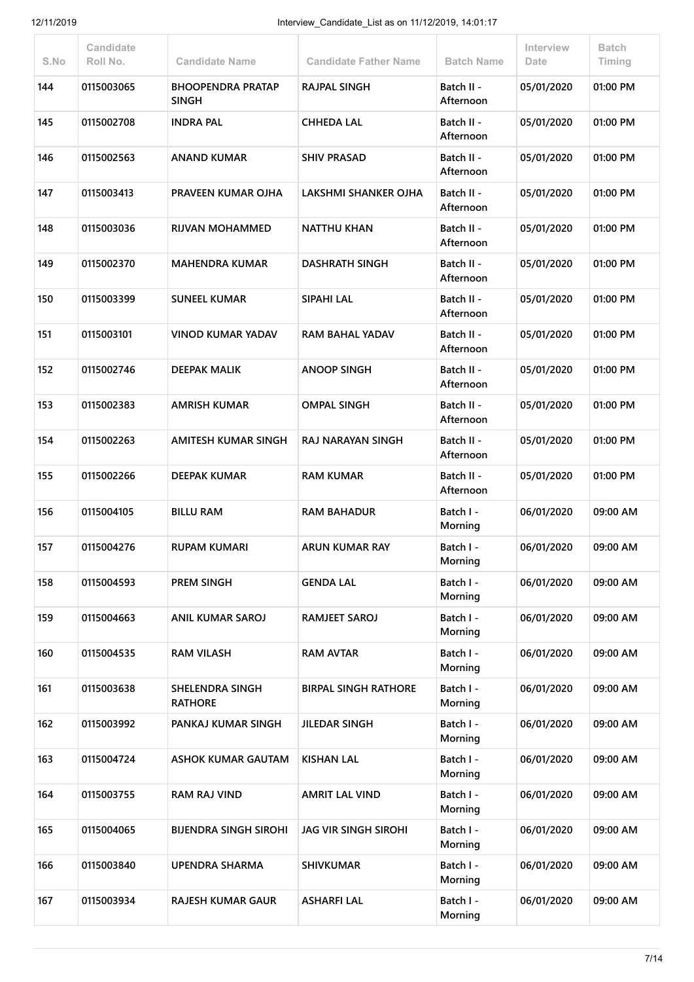| S.No | Candidate<br>Roll No. | <b>Candidate Name</b>                    | <b>Candidate Father Name</b> | <b>Batch Name</b>       | Interview<br>Date | <b>Batch</b><br>Timing |
|------|-----------------------|------------------------------------------|------------------------------|-------------------------|-------------------|------------------------|
| 144  | 0115003065            | <b>BHOOPENDRA PRATAP</b><br><b>SINGH</b> | <b>RAJPAL SINGH</b>          | Batch II -<br>Afternoon | 05/01/2020        | 01:00 PM               |
| 145  | 0115002708            | <b>INDRA PAL</b>                         | <b>CHHEDA LAL</b>            | Batch II -<br>Afternoon | 05/01/2020        | 01:00 PM               |
| 146  | 0115002563            | <b>ANAND KUMAR</b>                       | <b>SHIV PRASAD</b>           | Batch II -<br>Afternoon | 05/01/2020        | 01:00 PM               |
| 147  | 0115003413            | PRAVEEN KUMAR OJHA                       | LAKSHMI SHANKER OJHA         | Batch II -<br>Afternoon | 05/01/2020        | 01:00 PM               |
| 148  | 0115003036            | RIJVAN MOHAMMED                          | <b>NATTHU KHAN</b>           | Batch II -<br>Afternoon | 05/01/2020        | 01:00 PM               |
| 149  | 0115002370            | <b>MAHENDRA KUMAR</b>                    | <b>DASHRATH SINGH</b>        | Batch II -<br>Afternoon | 05/01/2020        | 01:00 PM               |
| 150  | 0115003399            | <b>SUNEEL KUMAR</b>                      | <b>SIPAHI LAL</b>            | Batch II -<br>Afternoon | 05/01/2020        | 01:00 PM               |
| 151  | 0115003101            | <b>VINOD KUMAR YADAV</b>                 | RAM BAHAL YADAV              | Batch II -<br>Afternoon | 05/01/2020        | 01:00 PM               |
| 152  | 0115002746            | <b>DEEPAK MALIK</b>                      | <b>ANOOP SINGH</b>           | Batch II -<br>Afternoon | 05/01/2020        | 01:00 PM               |
| 153  | 0115002383            | <b>AMRISH KUMAR</b>                      | <b>OMPAL SINGH</b>           | Batch II -<br>Afternoon | 05/01/2020        | 01:00 PM               |
| 154  | 0115002263            | <b>AMITESH KUMAR SINGH</b>               | RAJ NARAYAN SINGH            | Batch II -<br>Afternoon | 05/01/2020        | 01:00 PM               |
| 155  | 0115002266            | <b>DEEPAK KUMAR</b>                      | <b>RAM KUMAR</b>             | Batch II -<br>Afternoon | 05/01/2020        | 01:00 PM               |
| 156  | 0115004105            | <b>BILLU RAM</b>                         | <b>RAM BAHADUR</b>           | Batch I -<br>Morning    | 06/01/2020        | 09:00 AM               |
| 157  | 0115004276            | <b>RUPAM KUMARI</b>                      | ARUN KUMAR RAY               | Batch I -<br>Morning    | 06/01/2020        | 09:00 AM               |
| 158  | 0115004593            | <b>PREM SINGH</b>                        | <b>GENDA LAL</b>             | Batch I -<br>Morning    | 06/01/2020        | 09:00 AM               |
| 159  | 0115004663            | <b>ANIL KUMAR SAROJ</b>                  | RAMJEET SAROJ                | Batch I -<br>Morning    | 06/01/2020        | 09:00 AM               |
| 160  | 0115004535            | <b>RAM VILASH</b>                        | <b>RAM AVTAR</b>             | Batch I -<br>Morning    | 06/01/2020        | 09:00 AM               |
| 161  | 0115003638            | SHELENDRA SINGH<br><b>RATHORE</b>        | <b>BIRPAL SINGH RATHORE</b>  | Batch I -<br>Morning    | 06/01/2020        | 09:00 AM               |
| 162  | 0115003992            | PANKAJ KUMAR SINGH                       | <b>JILEDAR SINGH</b>         | Batch I -<br>Morning    | 06/01/2020        | 09:00 AM               |
| 163  | 0115004724            | <b>ASHOK KUMAR GAUTAM</b>                | <b>KISHAN LAL</b>            | Batch I -<br>Morning    | 06/01/2020        | 09:00 AM               |
| 164  | 0115003755            | <b>RAM RAJ VIND</b>                      | <b>AMRIT LAL VIND</b>        | Batch I -<br>Morning    | 06/01/2020        | 09:00 AM               |
| 165  | 0115004065            | <b>BIJENDRA SINGH SIROHI</b>             | <b>JAG VIR SINGH SIROHI</b>  | Batch I -<br>Morning    | 06/01/2020        | 09:00 AM               |
| 166  | 0115003840            | <b>UPENDRA SHARMA</b>                    | <b>SHIVKUMAR</b>             | Batch I -<br>Morning    | 06/01/2020        | 09:00 AM               |
| 167  | 0115003934            | RAJESH KUMAR GAUR                        | <b>ASHARFI LAL</b>           | Batch I -<br>Morning    | 06/01/2020        | 09:00 AM               |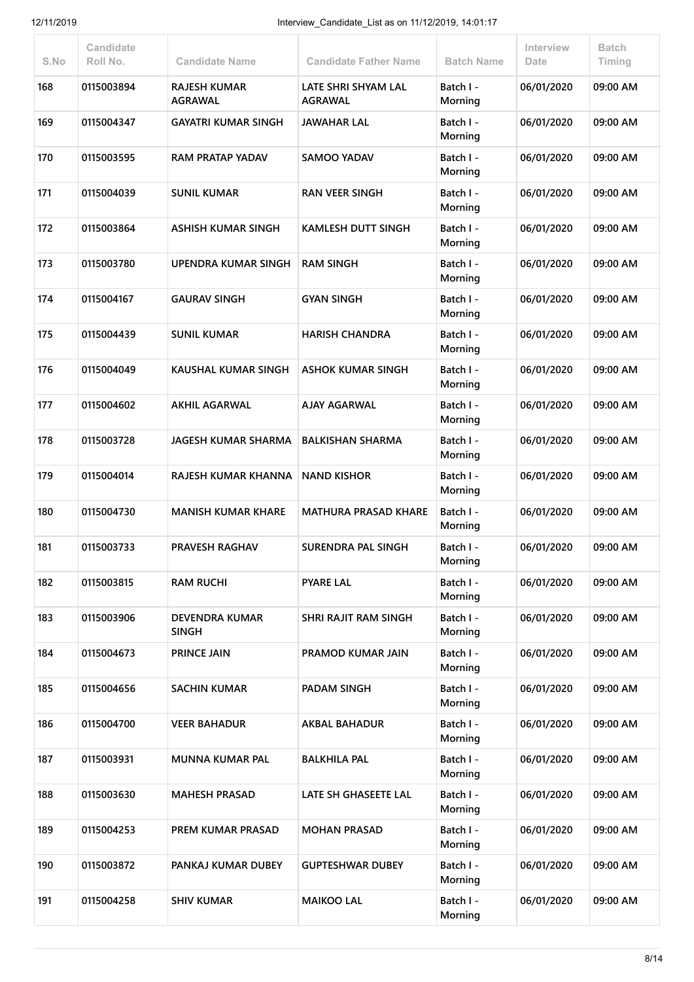| S.No | <b>Candidate</b><br>Roll No. | <b>Candidate Name</b>                 | <b>Candidate Father Name</b>          | <b>Batch Name</b>    | <b>Interview</b><br>Date | <b>Batch</b><br>Timing |
|------|------------------------------|---------------------------------------|---------------------------------------|----------------------|--------------------------|------------------------|
| 168  | 0115003894                   | <b>RAJESH KUMAR</b><br><b>AGRAWAL</b> | LATE SHRI SHYAM LAL<br><b>AGRAWAL</b> | Batch I -<br>Morning | 06/01/2020               | 09:00 AM               |
| 169  | 0115004347                   | <b>GAYATRI KUMAR SINGH</b>            | <b>JAWAHAR LAL</b>                    | Batch I -<br>Morning | 06/01/2020               | 09:00 AM               |
| 170  | 0115003595                   | <b>RAM PRATAP YADAV</b>               | <b>SAMOO YADAV</b>                    | Batch I -<br>Morning | 06/01/2020               | 09:00 AM               |
| 171  | 0115004039                   | <b>SUNIL KUMAR</b>                    | <b>RAN VEER SINGH</b>                 | Batch I -<br>Morning | 06/01/2020               | 09:00 AM               |
| 172  | 0115003864                   | <b>ASHISH KUMAR SINGH</b>             | <b>KAMLESH DUTT SINGH</b>             | Batch I -<br>Morning | 06/01/2020               | 09:00 AM               |
| 173  | 0115003780                   | <b>UPENDRA KUMAR SINGH</b>            | <b>RAM SINGH</b>                      | Batch I -<br>Morning | 06/01/2020               | 09:00 AM               |
| 174  | 0115004167                   | <b>GAURAV SINGH</b>                   | <b>GYAN SINGH</b>                     | Batch I -<br>Morning | 06/01/2020               | 09:00 AM               |
| 175  | 0115004439                   | <b>SUNIL KUMAR</b>                    | <b>HARISH CHANDRA</b>                 | Batch I -<br>Morning | 06/01/2020               | 09:00 AM               |
| 176  | 0115004049                   | <b>KAUSHAL KUMAR SINGH</b>            | <b>ASHOK KUMAR SINGH</b>              | Batch I -<br>Morning | 06/01/2020               | 09:00 AM               |
| 177  | 0115004602                   | <b>AKHIL AGARWAL</b>                  | <b>AJAY AGARWAL</b>                   | Batch I -<br>Morning | 06/01/2020               | 09:00 AM               |
| 178  | 0115003728                   | <b>JAGESH KUMAR SHARMA</b>            | <b>BALKISHAN SHARMA</b>               | Batch I -<br>Morning | 06/01/2020               | 09:00 AM               |
| 179  | 0115004014                   | RAJESH KUMAR KHANNA                   | <b>NAND KISHOR</b>                    | Batch I -<br>Morning | 06/01/2020               | 09:00 AM               |
| 180  | 0115004730                   | <b>MANISH KUMAR KHARE</b>             | <b>MATHURA PRASAD KHARE</b>           | Batch I -<br>Morning | 06/01/2020               | 09:00 AM               |
| 181  | 0115003733                   | <b>PRAVESH RAGHAV</b>                 | <b>SURENDRA PAL SINGH</b>             | Batch I -<br>Morning | 06/01/2020               | 09:00 AM               |
| 182  | 0115003815                   | <b>RAM RUCHI</b>                      | <b>PYARE LAL</b>                      | Batch I -<br>Morning | 06/01/2020               | 09:00 AM               |
| 183  | 0115003906                   | <b>DEVENDRA KUMAR</b><br><b>SINGH</b> | SHRI RAJIT RAM SINGH                  | Batch I -<br>Morning | 06/01/2020               | 09:00 AM               |
| 184  | 0115004673                   | <b>PRINCE JAIN</b>                    | PRAMOD KUMAR JAIN                     | Batch I -<br>Morning | 06/01/2020               | 09:00 AM               |
| 185  | 0115004656                   | <b>SACHIN KUMAR</b>                   | PADAM SINGH                           | Batch I -<br>Morning | 06/01/2020               | 09:00 AM               |
| 186  | 0115004700                   | <b>VEER BAHADUR</b>                   | <b>AKBAL BAHADUR</b>                  | Batch I -<br>Morning | 06/01/2020               | 09:00 AM               |
| 187  | 0115003931                   | <b>MUNNA KUMAR PAL</b>                | <b>BALKHILA PAL</b>                   | Batch I -<br>Morning | 06/01/2020               | 09:00 AM               |
| 188  | 0115003630                   | <b>MAHESH PRASAD</b>                  | LATE SH GHASEETE LAL                  | Batch I -<br>Morning | 06/01/2020               | 09:00 AM               |
| 189  | 0115004253                   | PREM KUMAR PRASAD                     | <b>MOHAN PRASAD</b>                   | Batch I -<br>Morning | 06/01/2020               | 09:00 AM               |
| 190  | 0115003872                   | PANKAJ KUMAR DUBEY                    | <b>GUPTESHWAR DUBEY</b>               | Batch I -<br>Morning | 06/01/2020               | 09:00 AM               |
| 191  | 0115004258                   | <b>SHIV KUMAR</b>                     | <b>MAIKOO LAL</b>                     | Batch I -<br>Morning | 06/01/2020               | 09:00 AM               |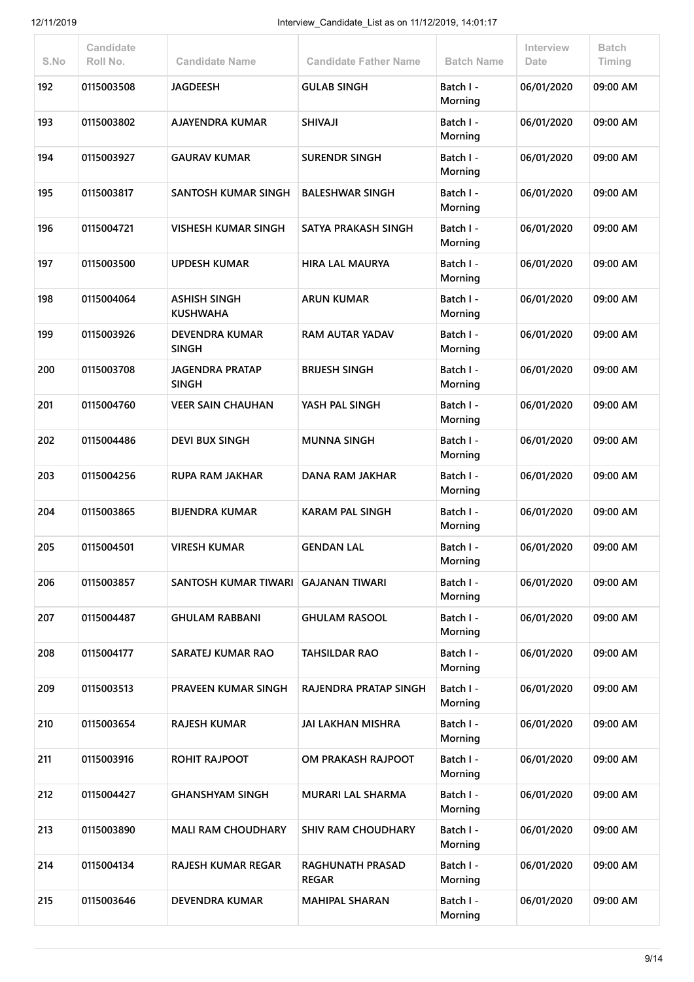| S.No | Candidate<br>Roll No. | <b>Candidate Name</b>                  | <b>Candidate Father Name</b>            | <b>Batch Name</b>    | Interview<br>Date | <b>Batch</b><br>Timing |
|------|-----------------------|----------------------------------------|-----------------------------------------|----------------------|-------------------|------------------------|
| 192  | 0115003508            | <b>JAGDEESH</b>                        | <b>GULAB SINGH</b>                      | Batch I -<br>Morning | 06/01/2020        | 09:00 AM               |
| 193  | 0115003802            | <b>AJAYENDRA KUMAR</b>                 | <b>ILAVIHZ</b>                          | Batch I -<br>Morning | 06/01/2020        | 09:00 AM               |
| 194  | 0115003927            | <b>GAURAV KUMAR</b>                    | <b>SURENDR SINGH</b>                    | Batch I -<br>Morning | 06/01/2020        | 09:00 AM               |
| 195  | 0115003817            | SANTOSH KUMAR SINGH                    | <b>BALESHWAR SINGH</b>                  | Batch I -<br>Morning | 06/01/2020        | 09:00 AM               |
| 196  | 0115004721            | <b>VISHESH KUMAR SINGH</b>             | SATYA PRAKASH SINGH                     | Batch I -<br>Morning | 06/01/2020        | 09:00 AM               |
| 197  | 0115003500            | <b>UPDESH KUMAR</b>                    | <b>HIRA LAL MAURYA</b>                  | Batch I -<br>Morning | 06/01/2020        | 09:00 AM               |
| 198  | 0115004064            | ASHISH SINGH<br><b>KUSHWAHA</b>        | <b>ARUN KUMAR</b>                       | Batch I -<br>Morning | 06/01/2020        | 09:00 AM               |
| 199  | 0115003926            | <b>DEVENDRA KUMAR</b><br><b>SINGH</b>  | <b>RAM AUTAR YADAV</b>                  | Batch I -<br>Morning | 06/01/2020        | 09:00 AM               |
| 200  | 0115003708            | <b>JAGENDRA PRATAP</b><br><b>SINGH</b> | <b>BRIJESH SINGH</b>                    | Batch I -<br>Morning | 06/01/2020        | 09:00 AM               |
| 201  | 0115004760            | <b>VEER SAIN CHAUHAN</b>               | YASH PAL SINGH                          | Batch I -<br>Morning | 06/01/2020        | 09:00 AM               |
| 202  | 0115004486            | <b>DEVI BUX SINGH</b>                  | <b>MUNNA SINGH</b>                      | Batch I -<br>Morning | 06/01/2020        | 09:00 AM               |
| 203  | 0115004256            | <b>RUPA RAM JAKHAR</b>                 | <b>DANA RAM JAKHAR</b>                  | Batch I -<br>Morning | 06/01/2020        | 09:00 AM               |
| 204  | 0115003865            | <b>BIJENDRA KUMAR</b>                  | <b>KARAM PAL SINGH</b>                  | Batch I -<br>Morning | 06/01/2020        | 09:00 AM               |
| 205  | 0115004501            | <b>VIRESH KUMAR</b>                    | <b>GENDAN LAL</b>                       | Batch I -<br>Morning | 06/01/2020        | 09:00 AM               |
| 206  | 0115003857            | <b>SANTOSH KUMAR TIWARI</b>            | <b>GAJANAN TIWARI</b>                   | Batch I -<br>Morning | 06/01/2020        | 09:00 AM               |
| 207  | 0115004487            | <b>GHULAM RABBANI</b>                  | <b>GHULAM RASOOL</b>                    | Batch I -<br>Morning | 06/01/2020        | 09:00 AM               |
| 208  | 0115004177            | SARATEJ KUMAR RAO                      | <b>TAHSILDAR RAO</b>                    | Batch I -<br>Morning | 06/01/2020        | 09:00 AM               |
| 209  | 0115003513            | PRAVEEN KUMAR SINGH                    | <b>RAJENDRA PRATAP SINGH</b>            | Batch I -<br>Morning | 06/01/2020        | 09:00 AM               |
| 210  | 0115003654            | <b>RAJESH KUMAR</b>                    | <b>JAI LAKHAN MISHRA</b>                | Batch I -<br>Morning | 06/01/2020        | 09:00 AM               |
| 211  | 0115003916            | <b>ROHIT RAJPOOT</b>                   | OM PRAKASH RAJPOOT                      | Batch I -<br>Morning | 06/01/2020        | 09:00 AM               |
| 212  | 0115004427            | <b>GHANSHYAM SINGH</b>                 | <b>MURARI LAL SHARMA</b>                | Batch I -<br>Morning | 06/01/2020        | 09:00 AM               |
| 213  | 0115003890            | <b>MALI RAM CHOUDHARY</b>              | <b>SHIV RAM CHOUDHARY</b>               | Batch I -<br>Morning | 06/01/2020        | 09:00 AM               |
| 214  | 0115004134            | <b>RAJESH KUMAR REGAR</b>              | <b>RAGHUNATH PRASAD</b><br><b>REGAR</b> | Batch I -<br>Morning | 06/01/2020        | 09:00 AM               |
| 215  | 0115003646            | <b>DEVENDRA KUMAR</b>                  | <b>MAHIPAL SHARAN</b>                   | Batch I -<br>Morning | 06/01/2020        | 09:00 AM               |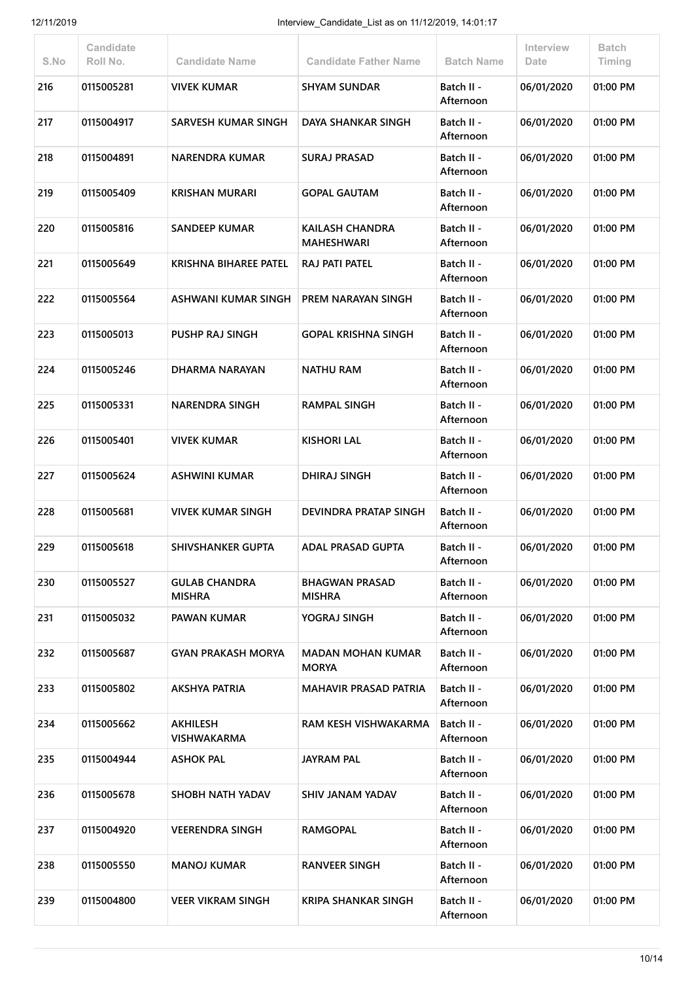| S.No | Candidate<br>Roll No. | <b>Candidate Name</b>                 | <b>Candidate Father Name</b>             | <b>Batch Name</b>       | <b>Interview</b><br>Date | <b>Batch</b><br>Timing |
|------|-----------------------|---------------------------------------|------------------------------------------|-------------------------|--------------------------|------------------------|
| 216  | 0115005281            | <b>VIVEK KUMAR</b>                    | <b>SHYAM SUNDAR</b>                      | Batch II -<br>Afternoon | 06/01/2020               | 01:00 PM               |
| 217  | 0115004917            | <b>SARVESH KUMAR SINGH</b>            | <b>DAYA SHANKAR SINGH</b>                | Batch II -<br>Afternoon | 06/01/2020               | 01:00 PM               |
| 218  | 0115004891            | <b>NARENDRA KUMAR</b>                 | <b>SURAJ PRASAD</b>                      | Batch II -<br>Afternoon | 06/01/2020               | 01:00 PM               |
| 219  | 0115005409            | <b>KRISHAN MURARI</b>                 | <b>GOPAL GAUTAM</b>                      | Batch II -<br>Afternoon | 06/01/2020               | 01:00 PM               |
| 220  | 0115005816            | <b>SANDEEP KUMAR</b>                  | KAILASH CHANDRA<br><b>MAHESHWARI</b>     | Batch II -<br>Afternoon | 06/01/2020               | 01:00 PM               |
| 221  | 0115005649            | <b>KRISHNA BIHAREE PATEL</b>          | RAJ PATI PATEL                           | Batch II -<br>Afternoon | 06/01/2020               | 01:00 PM               |
| 222  | 0115005564            | ASHWANI KUMAR SINGH                   | PREM NARAYAN SINGH                       | Batch II -<br>Afternoon | 06/01/2020               | 01:00 PM               |
| 223  | 0115005013            | <b>PUSHP RAJ SINGH</b>                | <b>GOPAL KRISHNA SINGH</b>               | Batch II -<br>Afternoon | 06/01/2020               | 01:00 PM               |
| 224  | 0115005246            | DHARMA NARAYAN                        | <b>NATHU RAM</b>                         | Batch II -<br>Afternoon | 06/01/2020               | 01:00 PM               |
| 225  | 0115005331            | <b>NARENDRA SINGH</b>                 | <b>RAMPAL SINGH</b>                      | Batch II -<br>Afternoon | 06/01/2020               | 01:00 PM               |
| 226  | 0115005401            | <b>VIVEK KUMAR</b>                    | <b>KISHORI LAL</b>                       | Batch II -<br>Afternoon | 06/01/2020               | 01:00 PM               |
| 227  | 0115005624            | ASHWINI KUMAR                         | <b>DHIRAJ SINGH</b>                      | Batch II -<br>Afternoon | 06/01/2020               | 01:00 PM               |
| 228  | 0115005681            | <b>VIVEK KUMAR SINGH</b>              | <b>DEVINDRA PRATAP SINGH</b>             | Batch II -<br>Afternoon | 06/01/2020               | 01:00 PM               |
| 229  | 0115005618            | SHIVSHANKER GUPTA                     | ADAL PRASAD GUPTA                        | Batch II -<br>Afternoon | 06/01/2020               | 01:00 PM               |
| 230  | 0115005527            | <b>GULAB CHANDRA</b><br><b>MISHRA</b> | <b>BHAGWAN PRASAD</b><br><b>MISHRA</b>   | Batch II -<br>Afternoon | 06/01/2020               | 01:00 PM               |
| 231  | 0115005032            | <b>PAWAN KUMAR</b>                    | YOGRAJ SINGH                             | Batch II -<br>Afternoon | 06/01/2020               | 01:00 PM               |
| 232  | 0115005687            | <b>GYAN PRAKASH MORYA</b>             | <b>MADAN MOHAN KUMAR</b><br><b>MORYA</b> | Batch II -<br>Afternoon | 06/01/2020               | 01:00 PM               |
| 233  | 0115005802            | <b>AKSHYA PATRIA</b>                  | <b>MAHAVIR PRASAD PATRIA</b>             | Batch II -<br>Afternoon | 06/01/2020               | 01:00 PM               |
| 234  | 0115005662            | <b>AKHILESH</b><br><b>VISHWAKARMA</b> | RAM KESH VISHWAKARMA                     | Batch II -<br>Afternoon | 06/01/2020               | 01:00 PM               |
| 235  | 0115004944            | <b>ASHOK PAL</b>                      | <b>JAYRAM PAL</b>                        | Batch II -<br>Afternoon | 06/01/2020               | 01:00 PM               |
| 236  | 0115005678            | SHOBH NATH YADAV                      | <b>SHIV JANAM YADAV</b>                  | Batch II -<br>Afternoon | 06/01/2020               | 01:00 PM               |
| 237  | 0115004920            | <b>VEERENDRA SINGH</b>                | <b>RAMGOPAL</b>                          | Batch II -<br>Afternoon | 06/01/2020               | 01:00 PM               |
| 238  | 0115005550            | <b>MANOJ KUMAR</b>                    | <b>RANVEER SINGH</b>                     | Batch II -<br>Afternoon | 06/01/2020               | 01:00 PM               |
| 239  | 0115004800            | <b>VEER VIKRAM SINGH</b>              | <b>KRIPA SHANKAR SINGH</b>               | Batch II -<br>Afternoon | 06/01/2020               | 01:00 PM               |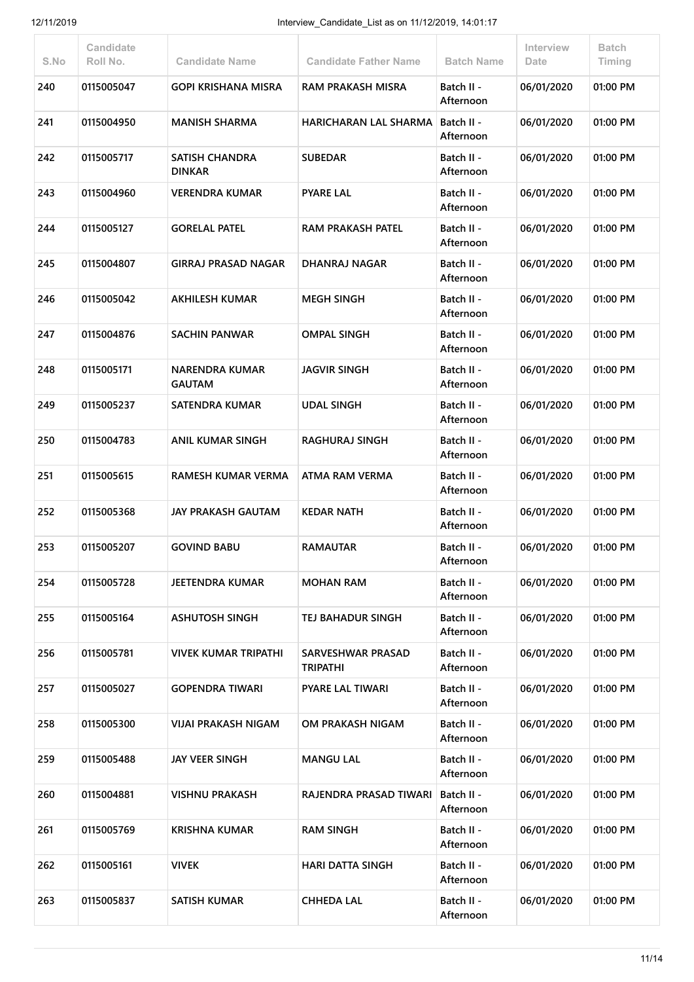| S.No | Candidate<br>Roll No. | <b>Candidate Name</b>                  | <b>Candidate Father Name</b>                | <b>Batch Name</b>       | Interview<br>Date | <b>Batch</b><br>Timing |
|------|-----------------------|----------------------------------------|---------------------------------------------|-------------------------|-------------------|------------------------|
| 240  | 0115005047            | <b>GOPI KRISHANA MISRA</b>             | <b>RAM PRAKASH MISRA</b>                    | Batch II -<br>Afternoon | 06/01/2020        | 01:00 PM               |
| 241  | 0115004950            | <b>MANISH SHARMA</b>                   | HARICHARAN LAL SHARMA                       | Batch II -<br>Afternoon | 06/01/2020        | 01:00 PM               |
| 242  | 0115005717            | SATISH CHANDRA<br><b>DINKAR</b>        | <b>SUBEDAR</b>                              | Batch II -<br>Afternoon | 06/01/2020        | 01:00 PM               |
| 243  | 0115004960            | VERENDRA KUMAR                         | <b>PYARE LAL</b>                            | Batch II -<br>Afternoon | 06/01/2020        | 01:00 PM               |
| 244  | 0115005127            | <b>GORELAL PATEL</b>                   | <b>RAM PRAKASH PATEL</b>                    | Batch II -<br>Afternoon | 06/01/2020        | 01:00 PM               |
| 245  | 0115004807            | <b>GIRRAJ PRASAD NAGAR</b>             | DHANRAJ NAGAR                               | Batch II -<br>Afternoon | 06/01/2020        | 01:00 PM               |
| 246  | 0115005042            | <b>AKHILESH KUMAR</b>                  | <b>MEGH SINGH</b>                           | Batch II -<br>Afternoon | 06/01/2020        | 01:00 PM               |
| 247  | 0115004876            | <b>SACHIN PANWAR</b>                   | <b>OMPAL SINGH</b>                          | Batch II -<br>Afternoon | 06/01/2020        | 01:00 PM               |
| 248  | 0115005171            | <b>NARENDRA KUMAR</b><br><b>GAUTAM</b> | <b>JAGVIR SINGH</b>                         | Batch II -<br>Afternoon | 06/01/2020        | 01:00 PM               |
| 249  | 0115005237            | <b>SATENDRA KUMAR</b>                  | <b>UDAL SINGH</b>                           | Batch II -<br>Afternoon | 06/01/2020        | 01:00 PM               |
| 250  | 0115004783            | ANIL KUMAR SINGH                       | <b>RAGHURAJ SINGH</b>                       | Batch II -<br>Afternoon | 06/01/2020        | 01:00 PM               |
| 251  | 0115005615            | <b>RAMESH KUMAR VERMA</b>              | ATMA RAM VERMA                              | Batch II -<br>Afternoon | 06/01/2020        | 01:00 PM               |
| 252  | 0115005368            | <b>JAY PRAKASH GAUTAM</b>              | <b>KEDAR NATH</b>                           | Batch II -<br>Afternoon | 06/01/2020        | 01:00 PM               |
| 253  | 0115005207            | <b>GOVIND BABU</b>                     | <b>RAMAUTAR</b>                             | Batch II -<br>Afternoon | 06/01/2020        | 01:00 PM               |
| 254  | 0115005728            | JEETENDRA KUMAR                        | <b>MOHAN RAM</b>                            | Batch II -<br>Afternoon | 06/01/2020        | 01:00 PM               |
| 255  | 0115005164            | <b>ASHUTOSH SINGH</b>                  | <b>TEJ BAHADUR SINGH</b>                    | Batch II -<br>Afternoon | 06/01/2020        | 01:00 PM               |
| 256  | 0115005781            | <b>VIVEK KUMAR TRIPATHI</b>            | <b>SARVESHWAR PRASAD</b><br><b>TRIPATHI</b> | Batch II -<br>Afternoon | 06/01/2020        | 01:00 PM               |
| 257  | 0115005027            | <b>GOPENDRA TIWARI</b>                 | <b>PYARE LAL TIWARI</b>                     | Batch II -<br>Afternoon | 06/01/2020        | 01:00 PM               |
| 258  | 0115005300            | VIJAI PRAKASH NIGAM                    | OM PRAKASH NIGAM                            | Batch II -<br>Afternoon | 06/01/2020        | 01:00 PM               |
| 259  | 0115005488            | <b>JAY VEER SINGH</b>                  | <b>MANGU LAL</b>                            | Batch II -<br>Afternoon | 06/01/2020        | 01:00 PM               |
| 260  | 0115004881            | <b>VISHNU PRAKASH</b>                  | RAJENDRA PRASAD TIWARI                      | Batch II -<br>Afternoon | 06/01/2020        | 01:00 PM               |
| 261  | 0115005769            | KRISHNA KUMAR                          | <b>RAM SINGH</b>                            | Batch II -<br>Afternoon | 06/01/2020        | 01:00 PM               |
| 262  | 0115005161            | <b>VIVEK</b>                           | <b>HARI DATTA SINGH</b>                     | Batch II -<br>Afternoon | 06/01/2020        | 01:00 PM               |
| 263  | 0115005837            | <b>SATISH KUMAR</b>                    | <b>CHHEDA LAL</b>                           | Batch II -<br>Afternoon | 06/01/2020        | 01:00 PM               |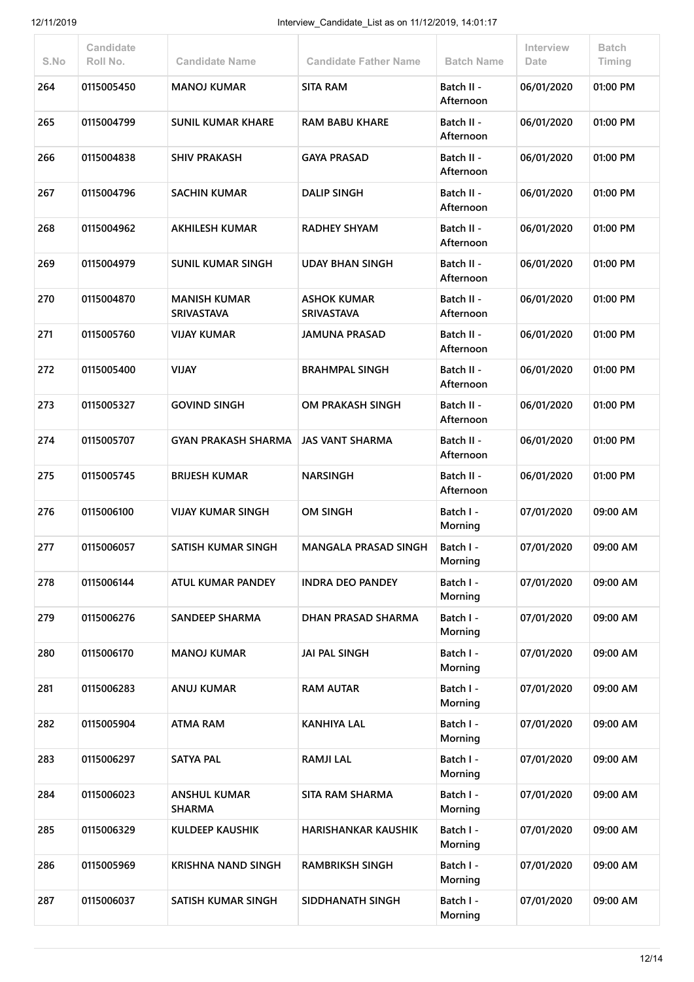| S.No | Candidate<br>Roll No. | <b>Candidate Name</b>                    | <b>Candidate Father Name</b>            | <b>Batch Name</b>       | Interview<br>Date | <b>Batch</b><br>Timing |
|------|-----------------------|------------------------------------------|-----------------------------------------|-------------------------|-------------------|------------------------|
| 264  | 0115005450            | <b>MANOJ KUMAR</b>                       | <b>SITA RAM</b>                         | Batch II -<br>Afternoon | 06/01/2020        | 01:00 PM               |
| 265  | 0115004799            | <b>SUNIL KUMAR KHARE</b>                 | <b>RAM BABU KHARE</b>                   | Batch II -<br>Afternoon | 06/01/2020        | 01:00 PM               |
| 266  | 0115004838            | <b>SHIV PRAKASH</b>                      | <b>GAYA PRASAD</b>                      | Batch II -<br>Afternoon | 06/01/2020        | 01:00 PM               |
| 267  | 0115004796            | <b>SACHIN KUMAR</b>                      | <b>DALIP SINGH</b>                      | Batch II -<br>Afternoon | 06/01/2020        | 01:00 PM               |
| 268  | 0115004962            | <b>AKHILESH KUMAR</b>                    | <b>RADHEY SHYAM</b>                     | Batch II -<br>Afternoon | 06/01/2020        | 01:00 PM               |
| 269  | 0115004979            | <b>SUNIL KUMAR SINGH</b>                 | <b>UDAY BHAN SINGH</b>                  | Batch II -<br>Afternoon | 06/01/2020        | 01:00 PM               |
| 270  | 0115004870            | <b>MANISH KUMAR</b><br><b>SRIVASTAVA</b> | <b>ASHOK KUMAR</b><br><b>SRIVASTAVA</b> | Batch II -<br>Afternoon | 06/01/2020        | 01:00 PM               |
| 271  | 0115005760            | <b>VIJAY KUMAR</b>                       | <b>JAMUNA PRASAD</b>                    | Batch II -<br>Afternoon | 06/01/2020        | 01:00 PM               |
| 272  | 0115005400            | <b>VIJAY</b>                             | <b>BRAHMPAL SINGH</b>                   | Batch II -<br>Afternoon | 06/01/2020        | 01:00 PM               |
| 273  | 0115005327            | <b>GOVIND SINGH</b>                      | OM PRAKASH SINGH                        | Batch II -<br>Afternoon | 06/01/2020        | 01:00 PM               |
| 274  | 0115005707            | <b>GYAN PRAKASH SHARMA</b>               | <b>JAS VANT SHARMA</b>                  | Batch II -<br>Afternoon | 06/01/2020        | 01:00 PM               |
| 275  | 0115005745            | <b>BRIJESH KUMAR</b>                     | <b>NARSINGH</b>                         | Batch II -<br>Afternoon | 06/01/2020        | 01:00 PM               |
| 276  | 0115006100            | <b>VIJAY KUMAR SINGH</b>                 | <b>OM SINGH</b>                         | Batch I -<br>Morning    | 07/01/2020        | 09:00 AM               |
| 277  | 0115006057            | SATISH KUMAR SINGH                       | <b>MANGALA PRASAD SINGH</b>             | Batch I -<br>Morning    | 07/01/2020        | 09:00 AM               |
| 278  | 0115006144            | ATUL KUMAR PANDEY                        | <b>INDRA DEO PANDEY</b>                 | Batch I -<br>Morning    | 07/01/2020        | 09:00 AM               |
| 279  | 0115006276            | <b>SANDEEP SHARMA</b>                    | DHAN PRASAD SHARMA                      | Batch I -<br>Morning    | 07/01/2020        | 09:00 AM               |
| 280  | 0115006170            | <b>MANOJ KUMAR</b>                       | <b>JAI PAL SINGH</b>                    | Batch I -<br>Morning    | 07/01/2020        | 09:00 AM               |
| 281  | 0115006283            | <b>ANUJ KUMAR</b>                        | <b>RAM AUTAR</b>                        | Batch I -<br>Morning    | 07/01/2020        | 09:00 AM               |
| 282  | 0115005904            | <b>ATMA RAM</b>                          | <b>KANHIYA LAL</b>                      | Batch I -<br>Morning    | 07/01/2020        | 09:00 AM               |
| 283  | 0115006297            | <b>SATYA PAL</b>                         | <b>RAMJI LAL</b>                        | Batch I -<br>Morning    | 07/01/2020        | 09:00 AM               |
| 284  | 0115006023            | <b>ANSHUL KUMAR</b><br><b>SHARMA</b>     | <b>SITA RAM SHARMA</b>                  | Batch I -<br>Morning    | 07/01/2020        | 09:00 AM               |
| 285  | 0115006329            | KULDEEP KAUSHIK                          | <b>HARISHANKAR KAUSHIK</b>              | Batch I -<br>Morning    | 07/01/2020        | 09:00 AM               |
| 286  | 0115005969            | <b>KRISHNA NAND SINGH</b>                | <b>RAMBRIKSH SINGH</b>                  | Batch I -<br>Morning    | 07/01/2020        | 09:00 AM               |
| 287  | 0115006037            | SATISH KUMAR SINGH                       | SIDDHANATH SINGH                        | Batch I -<br>Morning    | 07/01/2020        | 09:00 AM               |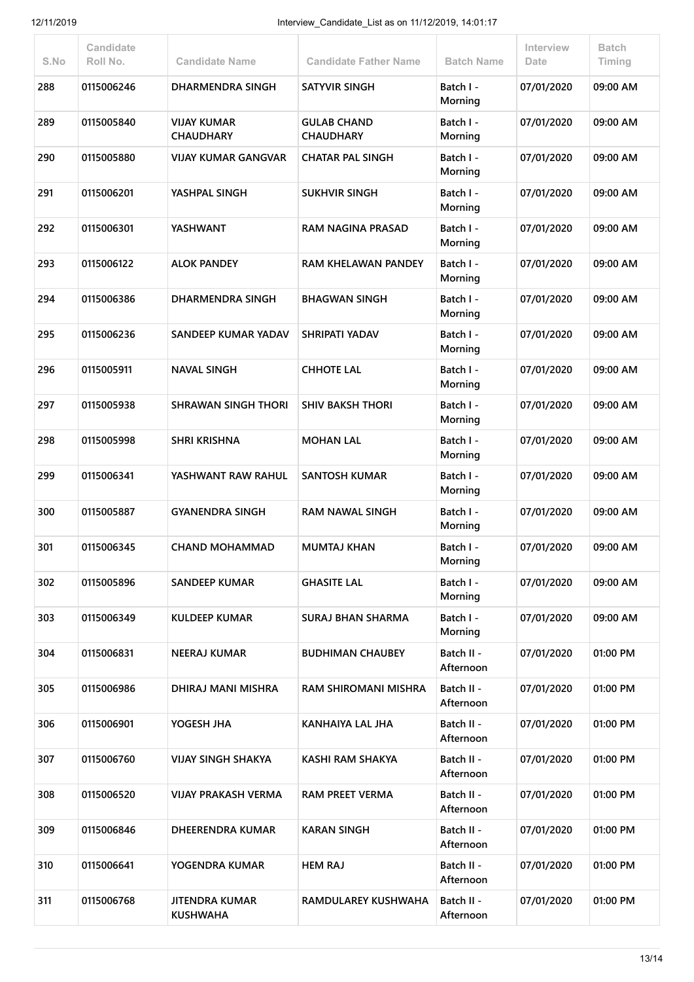| S.No | Candidate<br>Roll No. | <b>Candidate Name</b>                    | <b>Candidate Father Name</b>           | <b>Batch Name</b>       | Interview<br>Date | <b>Batch</b><br>Timing |
|------|-----------------------|------------------------------------------|----------------------------------------|-------------------------|-------------------|------------------------|
| 288  | 0115006246            | DHARMENDRA SINGH                         | <b>SATYVIR SINGH</b>                   | Batch I -<br>Morning    | 07/01/2020        | 09:00 AM               |
| 289  | 0115005840            | <b>VIJAY KUMAR</b><br><b>CHAUDHARY</b>   | <b>GULAB CHAND</b><br><b>CHAUDHARY</b> | Batch I -<br>Morning    | 07/01/2020        | 09:00 AM               |
| 290  | 0115005880            | <b>VIJAY KUMAR GANGVAR</b>               | <b>CHATAR PAL SINGH</b>                | Batch I -<br>Morning    | 07/01/2020        | 09:00 AM               |
| 291  | 0115006201            | YASHPAL SINGH                            | <b>SUKHVIR SINGH</b>                   | Batch I -<br>Morning    | 07/01/2020        | 09:00 AM               |
| 292  | 0115006301            | YASHWANT                                 | RAM NAGINA PRASAD                      | Batch I -<br>Morning    | 07/01/2020        | 09:00 AM               |
| 293  | 0115006122            | <b>ALOK PANDEY</b>                       | <b>RAM KHELAWAN PANDEY</b>             | Batch I -<br>Morning    | 07/01/2020        | 09:00 AM               |
| 294  | 0115006386            | <b>DHARMENDRA SINGH</b>                  | <b>BHAGWAN SINGH</b>                   | Batch I -<br>Morning    | 07/01/2020        | 09:00 AM               |
| 295  | 0115006236            | <b>SANDEEP KUMAR YADAV</b>               | SHRIPATI YADAV                         | Batch I -<br>Morning    | 07/01/2020        | 09:00 AM               |
| 296  | 0115005911            | <b>NAVAL SINGH</b>                       | <b>CHHOTE LAL</b>                      | Batch I -<br>Morning    | 07/01/2020        | 09:00 AM               |
| 297  | 0115005938            | <b>SHRAWAN SINGH THORI</b>               | <b>SHIV BAKSH THORI</b>                | Batch I -<br>Morning    | 07/01/2020        | 09:00 AM               |
| 298  | 0115005998            | <b>SHRI KRISHNA</b>                      | <b>MOHAN LAL</b>                       | Batch I -<br>Morning    | 07/01/2020        | 09:00 AM               |
| 299  | 0115006341            | YASHWANT RAW RAHUL                       | <b>SANTOSH KUMAR</b>                   | Batch I -<br>Morning    | 07/01/2020        | 09:00 AM               |
| 300  | 0115005887            | <b>GYANENDRA SINGH</b>                   | <b>RAM NAWAL SINGH</b>                 | Batch I -<br>Morning    | 07/01/2020        | 09:00 AM               |
| 301  | 0115006345            | <b>CHAND MOHAMMAD</b>                    | <b>MUMTAJ KHAN</b>                     | Batch I -<br>Morning    | 07/01/2020        | 09:00 AM               |
| 302  | 0115005896            | <b>SANDEEP KUMAR</b>                     | <b>GHASITE LAL</b>                     | Batch I -<br>Morning    | 07/01/2020        | 09:00 AM               |
| 303  | 0115006349            | <b>KULDEEP KUMAR</b>                     | <b>SURAJ BHAN SHARMA</b>               | Batch I -<br>Morning    | 07/01/2020        | 09:00 AM               |
| 304  | 0115006831            | <b>NEERAJ KUMAR</b>                      | <b>BUDHIMAN CHAUBEY</b>                | Batch II -<br>Afternoon | 07/01/2020        | 01:00 PM               |
| 305  | 0115006986            | DHIRAJ MANI MISHRA                       | <b>RAM SHIROMANI MISHRA</b>            | Batch II -<br>Afternoon | 07/01/2020        | 01:00 PM               |
| 306  | 0115006901            | YOGESH JHA                               | KANHAIYA LAL JHA                       | Batch II -<br>Afternoon | 07/01/2020        | 01:00 PM               |
| 307  | 0115006760            | <b>VIJAY SINGH SHAKYA</b>                | <b>KASHI RAM SHAKYA</b>                | Batch II -<br>Afternoon | 07/01/2020        | 01:00 PM               |
| 308  | 0115006520            | <b>VIJAY PRAKASH VERMA</b>               | <b>RAM PREET VERMA</b>                 | Batch II -<br>Afternoon | 07/01/2020        | 01:00 PM               |
| 309  | 0115006846            | <b>DHEERENDRA KUMAR</b>                  | <b>KARAN SINGH</b>                     | Batch II -<br>Afternoon | 07/01/2020        | 01:00 PM               |
| 310  | 0115006641            | YOGENDRA KUMAR                           | <b>HEM RAJ</b>                         | Batch II -<br>Afternoon | 07/01/2020        | 01:00 PM               |
| 311  | 0115006768            | <b>JITENDRA KUMAR</b><br><b>KUSHWAHA</b> | RAMDULAREY KUSHWAHA                    | Batch II -<br>Afternoon | 07/01/2020        | 01:00 PM               |